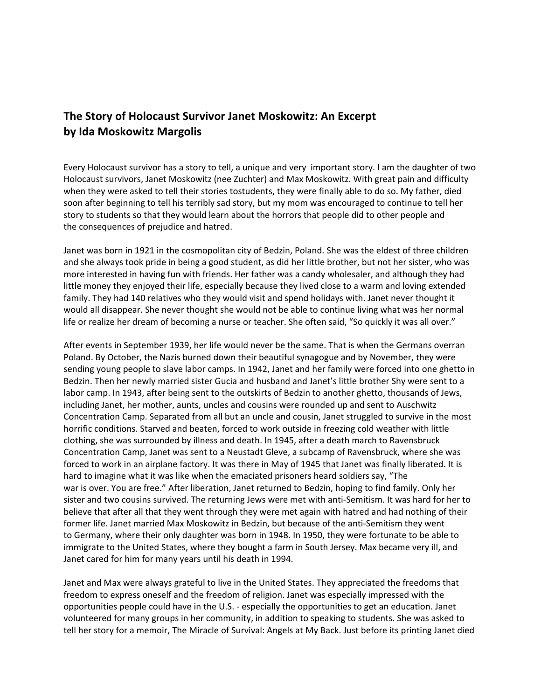## **The Story of Holocaust Survivor Janet Moskowitz: An Excerpt by Ida Moskowitz Margolis**

Every Holocaust survivor has a story to tell, a unique and very important story. I am the daughter of two Holocaust survivors, Janet Moskowitz (nee Zuchter) and Max Moskowitz. With great pain and difficulty when they were asked to tell their stories tostudents, they were finally able to do so. My father, died soon after beginning to tell his terribly sad story, but my mom was encouraged to continue to tell her story to students so that they would learn about the horrors that people did to other people and the consequences of prejudice and hatred.

Janet was born in 1921 in the cosmopolitan city of Bedzin, Poland. She was the eldest of three children and she always took pride in being a good student, as did her little brother, but not her sister, who was more interested in having fun with friends. Her father was a candy wholesaler, and although they had little money they enjoyed their life, especially because they lived close to a warm and loving extended family. They had 140 relatives who they would visit and spend holidays with. Janet never thought it would all disappear. She never thought she would not be able to continue living what was her normal life or realize her dream of becoming a nurse or teacher. She often said, "So quickly it was all over."

After events in September 1939, her life would never be the same. That is when the Germans overran Poland. By October, the Nazis burned down their beautiful synagogue and by November, they were sending young people to slave labor camps. In 1942, Janet and her family were forced into one ghetto in Bedzin. Then her newly married sister Gucia and husband and Janet's little brother Shy were sent to a labor camp. In 1943, after being sent to the outskirts of Bedzin to another ghetto, thousands of Jews, including Janet, her mother, aunts, uncles and cousins were rounded up and sent to Auschwitz Concentration Camp. Separated from all but an uncle and cousin, Janet struggled to survive in the most horrific conditions. Starved and beaten, forced to work outside in freezing cold weather with little clothing, she was surrounded by illness and death. In 1945, after a death march to Ravensbruck Concentration Camp, Janet was sent to a Neustadt Gleve, a subcamp of Ravensbruck, where she was forced to work in an airplane factory. It was there in May of 1945 that Janet was finally liberated. It is hard to imagine what it was like when the emaciated prisoners heard soldiers say, "The war is over. You are free." After liberation, Janet returned to Bedzin, hoping to find family. Only her sister and two cousins survived. The returning Jews were met with anti-Semitism. It was hard for her to believe that after all that they went through they were met again with hatred and had nothing of their former life. Janet married Max Moskowitz in Bedzin, but because of the anti-Semitism they went to Germany, where their only daughter was born in 1948. In 1950, they were fortunate to be able to immigrate to the United States, where they bought a farm in South Jersey. Max became very ill, and Janet cared for him for many years until his death in 1994.

Janet and Max were always grateful to live in the United States. They appreciated the freedoms that freedom to express oneself and the freedom of religion. Janet was especially impressed with the opportunities people could have in the U.S. - especially the opportunities to get an education. Janet volunteered for many groups in her community, in addition to speaking to students. She was asked to tell her story for a memoir, The Miracle of Survival: Angels at My Back. Just before its printing Janet died